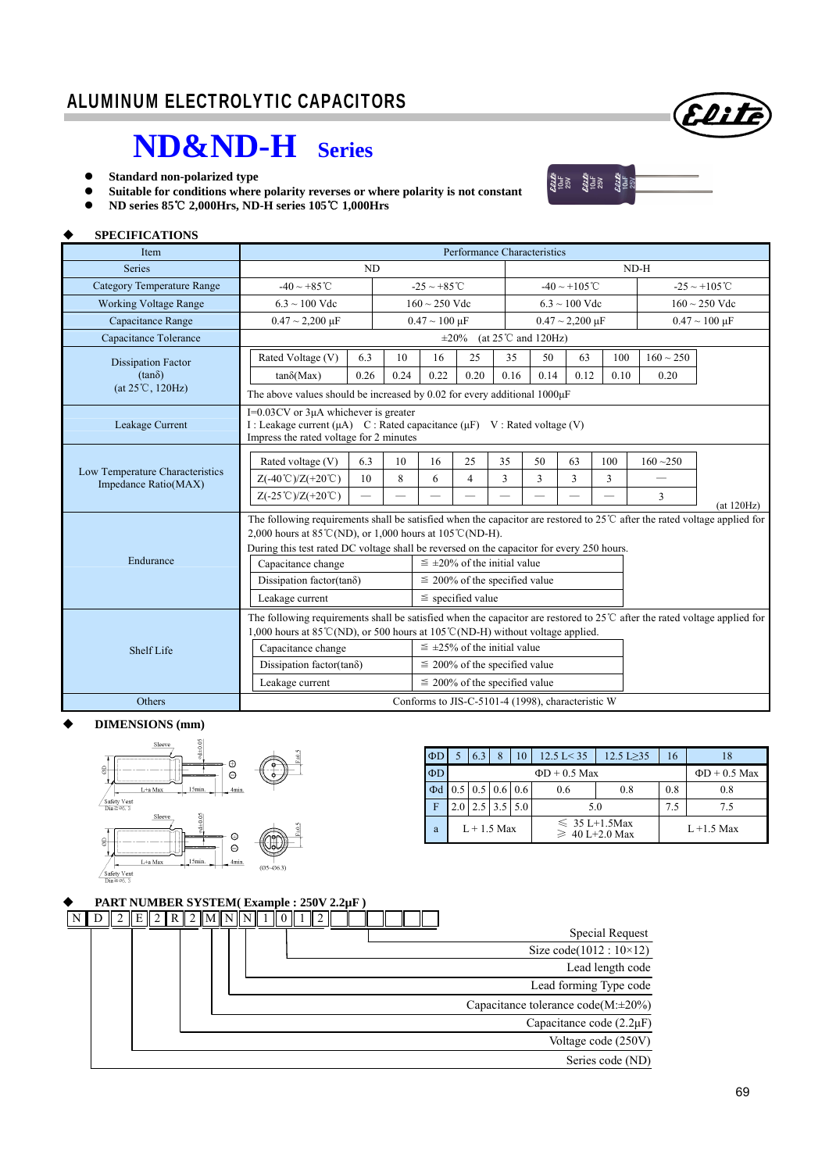## **ND&ND-H Series**

- **Standard non-polarized type**
- **Suitable for conditions where polarity reverses or where polarity is not constant**



Elite

**ND series 85**℃ **2,000Hrs, ND-H series 105**℃ **1,000Hrs**

### **SPECIFICATIONS**

| Item                              | Performance Characteristics                                                                                                                                                                                                                                                                               |          |      |                                      |                          |      |                          |                                                   |      |                          |  |  |  |  |
|-----------------------------------|-----------------------------------------------------------------------------------------------------------------------------------------------------------------------------------------------------------------------------------------------------------------------------------------------------------|----------|------|--------------------------------------|--------------------------|------|--------------------------|---------------------------------------------------|------|--------------------------|--|--|--|--|
| <b>Series</b>                     |                                                                                                                                                                                                                                                                                                           | ND       |      |                                      |                          |      |                          |                                                   |      | $ND-H$                   |  |  |  |  |
| <b>Category Temperature Range</b> | $-40 \sim +85^{\circ}$ C                                                                                                                                                                                                                                                                                  |          |      | $-25 \sim +85^{\circ}$ C             |                          |      |                          | $-40 \sim +105^{\circ}$ C                         |      | $-25 \sim +105$ °C       |  |  |  |  |
| <b>Working Voltage Range</b>      | $6.3 \sim 100$ Vdc                                                                                                                                                                                                                                                                                        |          |      | $160 \sim 250$ Vdc                   |                          |      |                          | $6.3 \sim 100$ Vdc                                |      | $160 \sim 250$ Vdc       |  |  |  |  |
| Capacitance Range                 | $0.47 \sim 2{,}200 \text{ }\mu\text{F}$                                                                                                                                                                                                                                                                   |          |      | $0.47 \sim 100 \,\mu F$              |                          |      |                          | $0.47 \sim 2{,}200 \text{ }\mu\text{F}$           |      | $0.47 \sim 100 \mu F$    |  |  |  |  |
| Capacitance Tolerance             | (at $25^{\circ}$ C and $120$ Hz)<br>$\pm 20\%$                                                                                                                                                                                                                                                            |          |      |                                      |                          |      |                          |                                                   |      |                          |  |  |  |  |
| <b>Dissipation Factor</b>         | Rated Voltage (V)                                                                                                                                                                                                                                                                                         | 6.3      | 10   | 16                                   | 25                       | 35   | 50                       | 63                                                | 100  | $160 \sim 250$           |  |  |  |  |
| $(tan\delta)$                     | $tan\delta(Max)$                                                                                                                                                                                                                                                                                          | 0.26     | 0.24 | 0.22                                 | 0.20                     | 0.16 | 0.14                     | 0.12                                              | 0.10 | 0.20                     |  |  |  |  |
| $(at 25^{\circ}C, 120Hz)$         | The above values should be increased by 0.02 for every additional $1000\mu$ F                                                                                                                                                                                                                             |          |      |                                      |                          |      |                          |                                                   |      |                          |  |  |  |  |
| Leakage Current                   | $I=0.03$ CV or $3\mu A$ whichever is greater<br>I : Leakage current ( $\mu$ A) C : Rated capacitance ( $\mu$ F) V : Rated voltage (V)<br>Impress the rated voltage for 2 minutes                                                                                                                          |          |      |                                      |                          |      |                          |                                                   |      |                          |  |  |  |  |
|                                   | Rated voltage (V)                                                                                                                                                                                                                                                                                         | 6.3      | 10   | 16                                   | 25                       | 35   | 50                       | 63                                                | 100  | $160 - 250$              |  |  |  |  |
| Low Temperature Characteristics   | $Z(-40^{\circ}\text{C})/Z(+20^{\circ}\text{C})$                                                                                                                                                                                                                                                           | 10       | 8    | 6                                    | $\overline{\mathcal{L}}$ | 3    | 3                        | 3                                                 | 3    | $\overline{\phantom{0}}$ |  |  |  |  |
| Impedance Ratio(MAX)              | $Z(-25^{\circ}\text{C})/Z(+20^{\circ}\text{C})$                                                                                                                                                                                                                                                           | $\equiv$ |      |                                      |                          |      | $\overline{\phantom{0}}$ |                                                   |      | 3                        |  |  |  |  |
|                                   | (at 120Hz)<br>The following requirements shall be satisfied when the capacitor are restored to $25^{\circ}$ after the rated voltage applied for<br>2,000 hours at 85 °C(ND), or 1,000 hours at 105 °C(ND-H).<br>During this test rated DC voltage shall be reversed on the capacitor for every 250 hours. |          |      |                                      |                          |      |                          |                                                   |      |                          |  |  |  |  |
| Endurance                         | Capacitance change                                                                                                                                                                                                                                                                                        |          |      | $\leq \pm 20\%$ of the initial value |                          |      |                          |                                                   |      |                          |  |  |  |  |
|                                   | Dissipation factor(tanõ)                                                                                                                                                                                                                                                                                  |          |      | $\leq$ 200% of the specified value   |                          |      |                          |                                                   |      |                          |  |  |  |  |
|                                   | Leakage current                                                                                                                                                                                                                                                                                           |          |      | $\le$ specified value                |                          |      |                          |                                                   |      |                          |  |  |  |  |
|                                   | The following requirements shall be satisfied when the capacitor are restored to $25^{\circ}$ after the rated voltage applied for<br>1,000 hours at 85 °C(ND), or 500 hours at 105 °C(ND-H) without voltage applied.                                                                                      |          |      |                                      |                          |      |                          |                                                   |      |                          |  |  |  |  |
| Shelf Life                        | Capacitance change                                                                                                                                                                                                                                                                                        |          |      | $\leq \pm 25\%$ of the initial value |                          |      |                          |                                                   |      |                          |  |  |  |  |
|                                   | Dissipation factor(tan $\delta$ )                                                                                                                                                                                                                                                                         |          |      | $\leq$ 200% of the specified value   |                          |      |                          |                                                   |      |                          |  |  |  |  |
|                                   | Leakage current                                                                                                                                                                                                                                                                                           |          |      | $\leq$ 200% of the specified value   |                          |      |                          |                                                   |      |                          |  |  |  |  |
| Others                            |                                                                                                                                                                                                                                                                                                           |          |      |                                      |                          |      |                          | Conforms to JIS-C-5101-4 (1998), characteristic W |      |                          |  |  |  |  |

#### **DIMENSIONS (mm)**



| $\Phi$ D | 6.3                              | 8 | 10  | $12.5 \text{ L} < 35$ | $12.5 L \geq 35$   | 16        |     |  |
|----------|----------------------------------|---|-----|-----------------------|--------------------|-----------|-----|--|
| $\Phi$ D |                                  |   |     | $\Phi$ D + 0.5 Max    |                    |           |     |  |
| $\Phi$ d | $0.5 \mid 0.5 \mid 0.6 \mid 0.6$ |   |     | 0.6                   | 0.8                | 0.8       | 0.8 |  |
|          |                                  |   | 5.0 | 5.0                   |                    | 7.5       | 7.5 |  |
| a        | $L + 1.5$ Max                    |   |     | $\geq 40$ L+2.0 Max   | $\leq 35$ L+1.5Max | L+1.5 Max |     |  |

|  | PART NUMBER SYSTEM(Example: 250V 2.2µF) |  |                                        |  |  |  |  |  |  |  |  |  |                                          |
|--|-----------------------------------------|--|----------------------------------------|--|--|--|--|--|--|--|--|--|------------------------------------------|
|  |                                         |  | $E \  2 \  R \  2 \  M \  N \  N \  1$ |  |  |  |  |  |  |  |  |  |                                          |
|  |                                         |  |                                        |  |  |  |  |  |  |  |  |  | Special Request                          |
|  |                                         |  |                                        |  |  |  |  |  |  |  |  |  | Size $code(1012 : 10 \times 12)$         |
|  |                                         |  |                                        |  |  |  |  |  |  |  |  |  | Lead length code                         |
|  |                                         |  |                                        |  |  |  |  |  |  |  |  |  | Lead forming Type code                   |
|  |                                         |  |                                        |  |  |  |  |  |  |  |  |  | Capacitance tolerance $code(M:\pm 20\%)$ |
|  |                                         |  |                                        |  |  |  |  |  |  |  |  |  | Capacitance code $(2.2\mu F)$            |
|  |                                         |  |                                        |  |  |  |  |  |  |  |  |  | Voltage code (250V)                      |
|  |                                         |  |                                        |  |  |  |  |  |  |  |  |  | Series code (ND)                         |